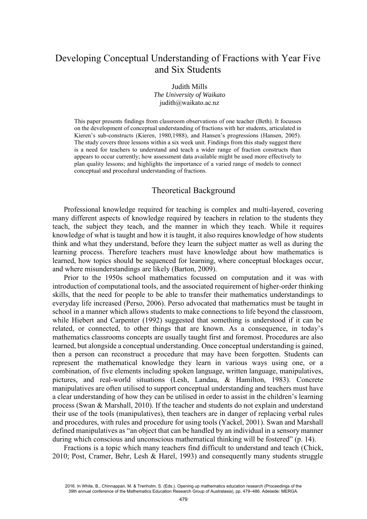# Developing Conceptual Understanding of Fractions with Year Five and Six Students

Judith Mills *The University of Waikato* judith@waikato.ac.nz

This paper presents findings from classroom observations of one teacher (Beth). It focusses on the development of conceptual understanding of fractions with her students, articulated in Kieren's sub-constructs (Kieren, 1980,1988), and Hansen's progressions (Hansen, 2005). The study covers three lessons within a six week unit. Findings from this study suggest there is a need for teachers to understand and teach a wider range of fraction constructs than appears to occur currently; how assessment data available might be used more effectively to plan quality lessons; and highlights the importance of a varied range of models to connect conceptual and procedural understanding of fractions.

# Theoretical Background

Professional knowledge required for teaching is complex and multi-layered, covering many different aspects of knowledge required by teachers in relation to the students they teach, the subject they teach, and the manner in which they teach. While it requires knowledge of what is taught and how it is taught, it also requires knowledge of how students think and what they understand, before they learn the subject matter as well as during the learning process. Therefore teachers must have knowledge about how mathematics is learned, how topics should be sequenced for learning, where conceptual blockages occur, and where misunderstandings are likely (Barton, 2009).

Prior to the 1950s school mathematics focussed on computation and it was with introduction of computational tools, and the associated requirement of higher-order thinking skills, that the need for people to be able to transfer their mathematics understandings to everyday life increased (Perso, 2006). Perso advocated that mathematics must be taught in school in a manner which allows students to make connections to life beyond the classroom, while Hiebert and Carpenter (1992) suggested that something is understood if it can be related, or connected, to other things that are known. As a consequence, in today's mathematics classrooms concepts are usually taught first and foremost. Procedures are also learned, but alongside a conceptual understanding. Once conceptual understanding is gained, then a person can reconstruct a procedure that may have been forgotten. Students can represent the mathematical knowledge they learn in various ways using one, or a combination, of five elements including spoken language, written language, manipulatives, pictures, and real-world situations (Lesh, Landau, & Hamilton, 1983). Concrete manipulatives are often utilised to support conceptual understanding and teachers must have a clear understanding of how they can be utilised in order to assist in the children's learning process (Swan & Marshall, 2010). If the teacher and students do not explain and understand their use of the tools (manipulatives), then teachers are in danger of replacing verbal rules and procedures, with rules and procedure for using tools (Yackel, 2001). Swan and Marshall defined manipulatives as "an object that can be handled by an individual in a sensory manner during which conscious and unconscious mathematical thinking will be fostered" (p. 14).

Fractions is a topic which many teachers find difficult to understand and teach (Chick, 2010; Post, Cramer, Behr, Lesh & Harel, 1993) and consequently many students struggle

<sup>2016.</sup> In White, B., Chinnappan, M. & Trenholm, S. (Eds.). Opening up mathematics education research (Proceedings of the 39th annual conference of the Mathematics Education Research Group of Australasia), pp. 479–486. Adelaide: MERGA.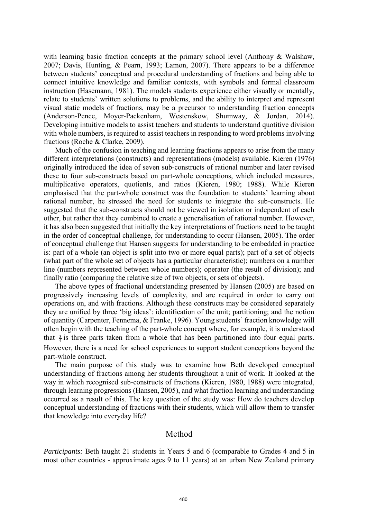with learning basic fraction concepts at the primary school level (Anthony & Walshaw, 2007; Davis, Hunting, & Pearn, 1993; Lamon, 2007). There appears to be a difference between students' conceptual and procedural understanding of fractions and being able to connect intuitive knowledge and familiar contexts, with symbols and formal classroom instruction (Hasemann, 1981). The models students experience either visually or mentally, relate to students' written solutions to problems, and the ability to interpret and represent visual static models of fractions, may be a precursor to understanding fraction concepts (Anderson-Pence, Moyer-Packenham, Westenskow, Shumway, & Jordan, 2014). Developing intuitive models to assist teachers and students to understand quotitive division with whole numbers, is required to assist teachers in responding to word problems involving fractions (Roche & Clarke, 2009).

Much of the confusion in teaching and learning fractions appears to arise from the many different interpretations (constructs) and representations (models) available. Kieren (1976) originally introduced the idea of seven sub-constructs of rational number and later revised these to four sub-constructs based on part-whole conceptions, which included measures, multiplicative operators, quotients, and ratios (Kieren, 1980; 1988). While Kieren emphasised that the part-whole construct was the foundation to students' learning about rational number, he stressed the need for students to integrate the sub-constructs. He suggested that the sub-constructs should not be viewed in isolation or independent of each other, but rather that they combined to create a generalisation of rational number. However, it has also been suggested that initially the key interpretations of fractions need to be taught in the order of conceptual challenge, for understanding to occur (Hansen, 2005). The order of conceptual challenge that Hansen suggests for understanding to be embedded in practice is: part of a whole (an object is split into two or more equal parts); part of a set of objects (what part of the whole set of objects has a particular characteristic); numbers on a number line (numbers represented between whole numbers); operator (the result of division); and finally ratio (comparing the relative size of two objects, or sets of objects).

The above types of fractional understanding presented by Hansen (2005) are based on progressively increasing levels of complexity, and are required in order to carry out operations on, and with fractions. Although these constructs may be considered separately they are unified by three 'big ideas': identification of the unit; partitioning; and the notion of quantity (Carpenter, Fennema, & Franke, 1996). Young students' fraction knowledge will often begin with the teaching of the part-whole concept where, for example, it is understood that  $\frac{3}{4}$  is three parts taken from a whole that has been partitioned into four equal parts. However, there is a need for school experiences to support student conceptions beyond the part-whole construct.

The main purpose of this study was to examine how Beth developed conceptual understanding of fractions among her students throughout a unit of work. It looked at the way in which recognised sub-constructs of fractions (Kieren, 1980, 1988) were integrated, through learning progressions (Hansen, 2005), and what fraction learning and understanding occurred as a result of this. The key question of the study was: How do teachers develop conceptual understanding of fractions with their students, which will allow them to transfer that knowledge into everyday life?

## Method

*Participants:* Beth taught 21 students in Years 5 and 6 (comparable to Grades 4 and 5 in most other countries - approximate ages 9 to 11 years) at an urban New Zealand primary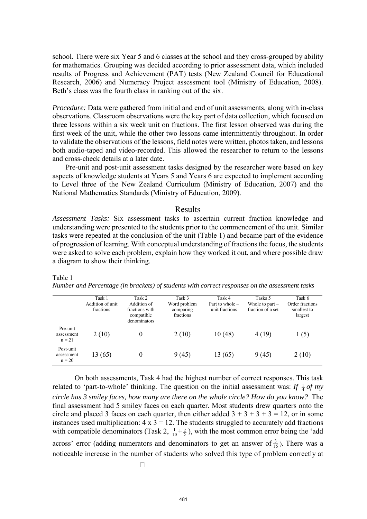school. There were six Year 5 and 6 classes at the school and they cross-grouped by ability for mathematics. Grouping was decided according to prior assessment data, which included results of Progress and Achievement (PAT) tests (New Zealand Council for Educational Research, 2006) and Numeracy Project assessment tool (Ministry of Education, 2008). Beth's class was the fourth class in ranking out of the six.

*Procedure:* Data were gathered from initial and end of unit assessments, along with in-class observations. Classroom observations were the key part of data collection, which focused on three lessons within a six week unit on fractions. The first lesson observed was during the first week of the unit, while the other two lessons came intermittently throughout. In order to validate the observations of the lessons, field notes were written, photos taken, and lessons both audio-taped and video-recorded. This allowed the researcher to return to the lessons and cross-check details at a later date.

Pre-unit and post-unit assessment tasks designed by the researcher were based on key aspects of knowledge students at Years 5 and Years 6 are expected to implement according to Level three of the New Zealand Curriculum (Ministry of Education, 2007) and the National Mathematics Standards (Ministry of Education, 2009).

### Results

*Assessment Tasks:* Six assessment tasks to ascertain current fraction knowledge and understanding were presented to the students prior to the commencement of the unit. Similar tasks were repeated at the conclusion of the unit (Table 1) and became part of the evidence of progression of learning. With conceptual understanding of fractions the focus, the students were asked to solve each problem, explain how they worked it out, and where possible draw a diagram to show their thinking.

#### Table 1

*Number and Percentage (in brackets) of students with correct responses on the assessment tasks* 

|                                     | Task 1<br>Addition of unit<br>fractions | Task 2<br>Addition of<br>fractions with<br>compatible<br>denominators | Task 3<br>Word problem<br>comparing<br>fractions | Task 4<br>Part to whole $-$<br>unit fractions | Tasks 5<br>Whole to part $-$<br>fraction of a set | Task 6<br>Order fractions<br>smallest to<br>largest |
|-------------------------------------|-----------------------------------------|-----------------------------------------------------------------------|--------------------------------------------------|-----------------------------------------------|---------------------------------------------------|-----------------------------------------------------|
| Pre-unit<br>assessment<br>$n = 21$  | 2(10)                                   | 0                                                                     | 2(10)                                            | 10(48)                                        | 4(19)                                             | 1(5)                                                |
| Post-unit<br>assessment<br>$n = 20$ | 13 (65)                                 | 0                                                                     | 9(45)                                            | 13(65)                                        | 9(45)                                             | 2(10)                                               |

On both assessments, Task 4 had the highest number of correct responses. This task related to 'part-to-whole' thinking. The question on the initial assessment was: If  $\frac{1}{4}$  of my *circle has 3 smiley faces, how many are there on the whole circle? How do you know?* The final assessment had 5 smiley faces on each quarter. Most students drew quarters onto the circle and placed 3 faces on each quarter, then either added  $3 + 3 + 3 + 3 = 12$ , or in some instances used multiplication:  $4 \times 3 = 12$ . The students struggled to accurately add fractions with compatible denominators (Task 2,  $\frac{1}{10} + \frac{2}{5}$ ), with the most common error being the 'add across' error (adding numerators and denominators to get an answer of  $\frac{3}{15}$  $\frac{3}{5}$ ). There was a noticeable increase in the number of students who solved this type of problem correctly at

 $\Box$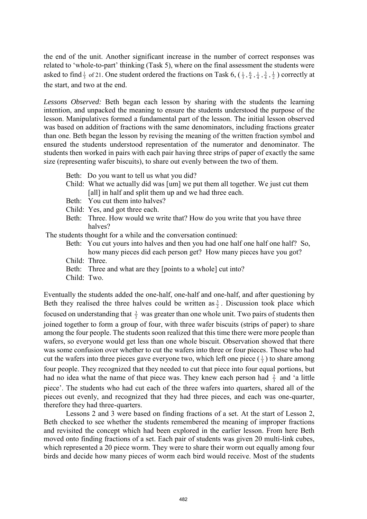the end of the unit. Another significant increase in the number of correct responses was related to 'whole-to-part' thinking (Task 5), where on the final assessment the students were asked to find  $\frac{1}{3}$  of 21. One student ordered the fractions on Task 6,  $(\frac{1}{3}, \frac{6}{4}, \frac{1}{4}, \frac{3}{4}, \frac{1}{2})$  correctly at the start, and two at the end.

*Lessons Observed:* Beth began each lesson by sharing with the students the learning intention, and unpacked the meaning to ensure the students understood the purpose of the lesson. Manipulatives formed a fundamental part of the lesson. The initial lesson observed was based on addition of fractions with the same denominators, including fractions greater than one. Beth began the lesson by revising the meaning of the written fraction symbol and ensured the students understood representation of the numerator and denominator. The students then worked in pairs with each pair having three strips of paper of exactly the same size (representing wafer biscuits), to share out evenly between the two of them.

- Beth: Do you want to tell us what you did?
- Child: What we actually did was [um] we put them all together. We just cut them [all] in half and split them up and we had three each.
- Beth: You cut them into halves?
- Child: Yes, and got three each.
- Beth: Three. How would we write that? How do you write that you have three halves?

The students thought for a while and the conversation continued:

- Beth: You cut yours into halves and then you had one half one half one half? So, how many pieces did each person get? How many pieces have you got?
- Child: Three.
- Beth: Three and what are they [points to a whole] cut into?
- Child: Two.

Eventually the students added the one-half, one-half and one-half, and after questioning by Beth they realised the three halves could be written as  $\frac{3}{2}$ . Discussion took place which focused on understanding that  $\frac{3}{2}$  was greater than one whole unit. Two pairs of students then joined together to form a group of four, with three wafer biscuits (strips of paper) to share among the four people. The students soon realized that this time there were more people than wafers, so everyone would get less than one whole biscuit. Observation showed that there was some confusion over whether to cut the wafers into three or four pieces. Those who had cut the wafers into three pieces gave everyone two, which left one piece  $(\frac{1}{3})$  to share among four people. They recognized that they needed to cut that piece into four equal portions, but had no idea what the name of that piece was. They knew each person had  $\frac{2}{3}$  and 'a little piece'. The students who had cut each of the three wafers into quarters, shared all of the pieces out evenly, and recognized that they had three pieces, and each was one-quarter, therefore they had three-quarters.

 Lessons 2 and 3 were based on finding fractions of a set. At the start of Lesson 2, Beth checked to see whether the students remembered the meaning of improper fractions and revisited the concept which had been explored in the earlier lesson. From here Beth moved onto finding fractions of a set. Each pair of students was given 20 multi-link cubes, which represented a 20 piece worm. They were to share their worm out equally among four birds and decide how many pieces of worm each bird would receive. Most of the students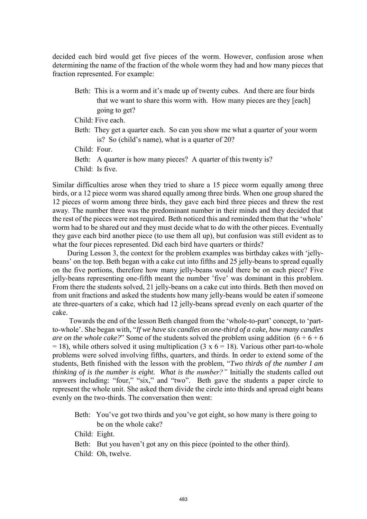decided each bird would get five pieces of the worm. However, confusion arose when determining the name of the fraction of the whole worm they had and how many pieces that fraction represented. For example:

Beth: This is a worm and it's made up of twenty cubes. And there are four birds that we want to share this worm with. How many pieces are they [each] going to get?

Child: Five each.

Beth: They get a quarter each. So can you show me what a quarter of your worm is? So (child's name), what is a quarter of 20?

Child: Four.

Beth: A quarter is how many pieces? A quarter of this twenty is?

Child: Is five.

Similar difficulties arose when they tried to share a 15 piece worm equally among three birds, or a 12 piece worm was shared equally among three birds. When one group shared the 12 pieces of worm among three birds, they gave each bird three pieces and threw the rest away. The number three was the predominant number in their minds and they decided that the rest of the pieces were not required. Beth noticed this and reminded them that the 'whole' worm had to be shared out and they must decide what to do with the other pieces. Eventually they gave each bird another piece (to use them all up), but confusion was still evident as to what the four pieces represented. Did each bird have quarters or thirds?

 During Lesson 3, the context for the problem examples was birthday cakes with 'jellybeans' on the top. Beth began with a cake cut into fifths and 25 jelly-beans to spread equally on the five portions, therefore how many jelly-beans would there be on each piece? Five jelly-beans representing one-fifth meant the number 'five' was dominant in this problem. From there the students solved, 21 jelly-beans on a cake cut into thirds. Beth then moved on from unit fractions and asked the students how many jelly-beans would be eaten if someone ate three-quarters of a cake, which had 12 jelly-beans spread evenly on each quarter of the cake.

 Towards the end of the lesson Beth changed from the 'whole-to-part' concept, to 'partto-whole'. She began with, "*If we have six candles on one-third of a cake, how many candles are on the whole cake?*" Some of the students solved the problem using addition  $(6 + 6 + 6)$  $= 18$ ), while others solved it using multiplication (3 x 6 = 18). Various other part-to-whole problems were solved involving fifths, quarters, and thirds. In order to extend some of the students, Beth finished with the lesson with the problem, "*Two thirds of the number I am thinking of is the number is eight. What is the number?"* Initially the students called out answers including: "four," "six," and "two". Beth gave the students a paper circle to represent the whole unit. She asked them divide the circle into thirds and spread eight beans evenly on the two-thirds. The conversation then went:

Beth: You've got two thirds and you've got eight, so how many is there going to be on the whole cake?

Child: Eight.

- Beth: But you haven't got any on this piece (pointed to the other third).
- Child: Oh, twelve.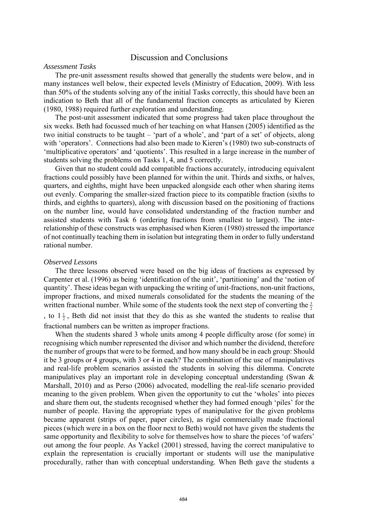# Discussion and Conclusions

### *Assessment Tasks*

The pre-unit assessment results showed that generally the students were below, and in many instances well below, their expected levels (Ministry of Education, 2009). With less than 50% of the students solving any of the initial Tasks correctly, this should have been an indication to Beth that all of the fundamental fraction concepts as articulated by Kieren (1980, 1988) required further exploration and understanding.

The post-unit assessment indicated that some progress had taken place throughout the six weeks. Beth had focussed much of her teaching on what Hansen (2005) identified as the two initial constructs to be taught – 'part of a whole', and 'part of a set' of objects, along with 'operators'. Connections had also been made to Kieren's (1980) two sub-constructs of 'multiplicative operators' and 'quotients'. This resulted in a large increase in the number of students solving the problems on Tasks 1, 4, and 5 correctly.

Given that no student could add compatible fractions accurately, introducing equivalent fractions could possibly have been planned for within the unit. Thirds and sixths, or halves, quarters, and eighths, might have been unpacked alongside each other when sharing items out evenly. Comparing the smaller-sized fraction piece to its compatible fraction (sixths to thirds, and eighths to quarters), along with discussion based on the positioning of fractions on the number line, would have consolidated understanding of the fraction number and assisted students with Task 6 (ordering fractions from smallest to largest). The interrelationship of these constructs was emphasised when Kieren (1980) stressed the importance of not continually teaching them in isolation but integrating them in order to fully understand rational number.

### *Observed Lessons*

The three lessons observed were based on the big ideas of fractions as expressed by Carpenter et al. (1996) as being 'identification of the unit', 'partitioning' and the 'notion of quantity'. These ideas began with unpacking the writing of unit-fractions, non-unit fractions, improper fractions, and mixed numerals consolidated for the students the meaning of the written fractional number. While some of the students took the next step of converting the  $\frac{3}{2}$ , to  $1\frac{1}{2}$ , Beth did not insist that they do this as she wanted the students to realise that

fractional numbers can be written as improper fractions.

When the students shared 3 whole units among 4 people difficulty arose (for some) in recognising which number represented the divisor and which number the dividend, therefore the number of groups that were to be formed, and how many should be in each group: Should it be 3 groups or 4 groups, with 3 or 4 in each? The combination of the use of manipulatives and real-life problem scenarios assisted the students in solving this dilemma. Concrete manipulatives play an important role in developing conceptual understanding (Swan & Marshall, 2010) and as Perso (2006) advocated, modelling the real-life scenario provided meaning to the given problem. When given the opportunity to cut the 'wholes' into pieces and share them out, the students recognised whether they had formed enough 'piles' for the number of people. Having the appropriate types of manipulative for the given problems became apparent (strips of paper, paper circles), as rigid commercially made fractional pieces (which were in a box on the floor next to Beth) would not have given the students the same opportunity and flexibility to solve for themselves how to share the pieces 'of wafers' out among the four people. As Yackel (2001) stressed, having the correct manipulative to explain the representation is crucially important or students will use the manipulative procedurally, rather than with conceptual understanding. When Beth gave the students a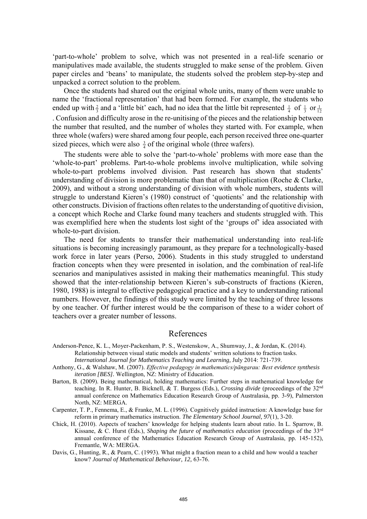'part-to-whole' problem to solve, which was not presented in a real-life scenario or manipulatives made available, the students struggled to make sense of the problem. Given paper circles and 'beans' to manipulate, the students solved the problem step-by-step and unpacked a correct solution to the problem.

Once the students had shared out the original whole units, many of them were unable to name the 'fractional representation' that had been formed. For example, the students who ended up with  $\frac{2}{3}$  and a 'little bit' each, had no idea that the little bit represented  $\frac{1}{4}$  of  $\frac{1}{3}$  or  $\frac{1}{12}$ . Confusion and difficulty arose in the re-unitising of the pieces and the relationship between the number that resulted, and the number of wholes they started with. For example, when three whole (wafers) were shared among four people, each person received three one-quarter sized pieces, which were also  $\frac{3}{4}$  of the original whole (three wafers).

The students were able to solve the 'part-to-whole' problems with more ease than the 'whole-to-part' problems. Part-to-whole problems involve multiplication, while solving whole-to-part problems involved division. Past research has shown that students' understanding of division is more problematic than that of multiplication (Roche  $\&$  Clarke, 2009), and without a strong understanding of division with whole numbers, students will struggle to understand Kieren's (1980) construct of 'quotients' and the relationship with other constructs. Division of fractions often relates to the understanding of quotitive division, a concept which Roche and Clarke found many teachers and students struggled with. This was exemplified here when the students lost sight of the 'groups of' idea associated with whole-to-part division.

The need for students to transfer their mathematical understanding into real-life situations is becoming increasingly paramount, as they prepare for a technologically-based work force in later years (Perso, 2006). Students in this study struggled to understand fraction concepts when they were presented in isolation, and the combination of real-life scenarios and manipulatives assisted in making their mathematics meaningful. This study showed that the inter-relationship between Kieren's sub-constructs of fractions (Kieren, 1980, 1988) is integral to effective pedagogical practice and a key to understanding rational numbers. However, the findings of this study were limited by the teaching of three lessons by one teacher. Of further interest would be the comparison of these to a wider cohort of teachers over a greater number of lessons.

# References

- Anderson-Pence, K. L., Moyer-Packenham, P. S., Westenskow, A., Shumway, J., & Jordan, K. (2014). Relationship between visual static models and students' written solutions to fraction tasks. *International Journal for Mathematics Teaching and Learning,* July 2014: 721-739.
- Anthony, G., & Walshaw, M. (2007). *Effective pedagogy in mathematics/pāngarau: Best evidence synthesis iteration [BES].* Wellington, NZ: Ministry of Education.
- Barton, B. (2009). Being mathematical, holding mathematics: Further steps in mathematical knowledge for teaching. In R. Hunter, B. Bicknell, & T. Burgess (Eds.), *Crossing divide* (proceedings of the 32nd annual conference on Mathematics Education Research Group of Australasia, pp. 3-9), Palmerston North, NZ: MERGA.
- Carpenter, T. P., Fennema, E., & Franke, M. L. (1996). Cognitively guided instruction: A knowledge base for reform in primary mathematics instruction. *The Elementary School Journal, 97*(1), 3-20.
- Chick, H. (2010). Aspects of teachers' knowledge for helping students learn about ratio. In L. Sparrow, B. Kissane, & C. Hurst (Eds.), *Shaping the future of mathematics education* (proceedings of the 33rd annual conference of the Mathematics Education Research Group of Australasia, pp. 145-152), Fremantle, WA: MERGA.
- Davis, G., Hunting, R., & Pearn, C. (1993). What might a fraction mean to a child and how would a teacher know? *Journal of Mathematical Behaviour, 12,* 63-76.